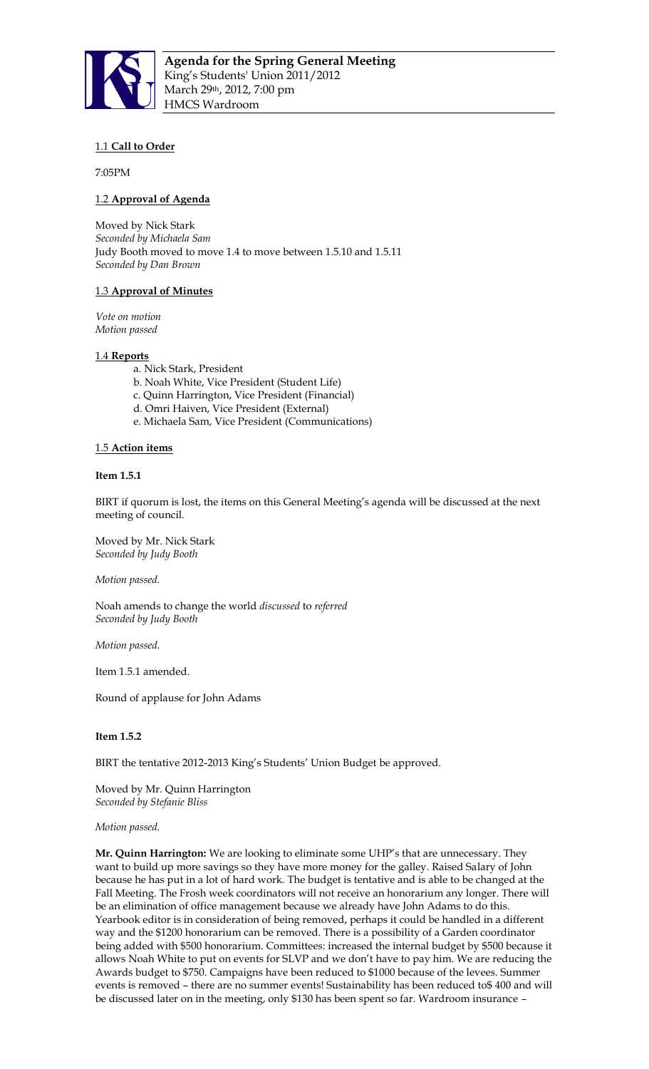

# 1.1 **Call to Order**

7:05PM

# 1.2 **Approval of Agenda**

Moved by Nick Stark *Seconded by Michaela Sam*  Judy Booth moved to move 1.4 to move between 1.5.10 and 1.5.11 *Seconded by Dan Brown*

# 1.3 **Approval of Minutes**

*Vote on motion Motion passed* 

# 1.4 **Reports**

- a. Nick Stark, President
- b. Noah White, Vice President (Student Life)
- c. Quinn Harrington, Vice President (Financial)
- d. Omri Haiven, Vice President (External)
- e. Michaela Sam, Vice President (Communications)

### 1.5 **Action items**

# **Item 1.5.1**

BIRT if quorum is lost, the items on this General Meeting's agenda will be discussed at the next meeting of council.

Moved by Mr. Nick Stark *Seconded by Judy Booth*

*Motion passed.*

Noah amends to change the world *discussed* to *referred Seconded by Judy Booth*

*Motion passed.*

Item 1.5.1 amended.

Round of applause for John Adams

# **Item 1.5.2**

BIRT the tentative 2012-2013 King's Students' Union Budget be approved.

Moved by Mr. Quinn Harrington *Seconded by Stefanie Bliss* 

### *Motion passed.*

**Mr. Quinn Harrington:** We are looking to eliminate some UHP's that are unnecessary. They want to build up more savings so they have more money for the galley. Raised Salary of John because he has put in a lot of hard work. The budget is tentative and is able to be changed at the Fall Meeting. The Frosh week coordinators will not receive an honorarium any longer. There will be an elimination of office management because we already have John Adams to do this. Yearbook editor is in consideration of being removed, perhaps it could be handled in a different way and the \$1200 honorarium can be removed. There is a possibility of a Garden coordinator being added with \$500 honorarium. Committees: increased the internal budget by \$500 because it allows Noah White to put on events for SLVP and we don't have to pay him. We are reducing the Awards budget to \$750. Campaigns have been reduced to \$1000 because of the levees. Summer events is removed – there are no summer events! Sustainability has been reduced to\$ 400 and will be discussed later on in the meeting, only \$130 has been spent so far. Wardroom insurance –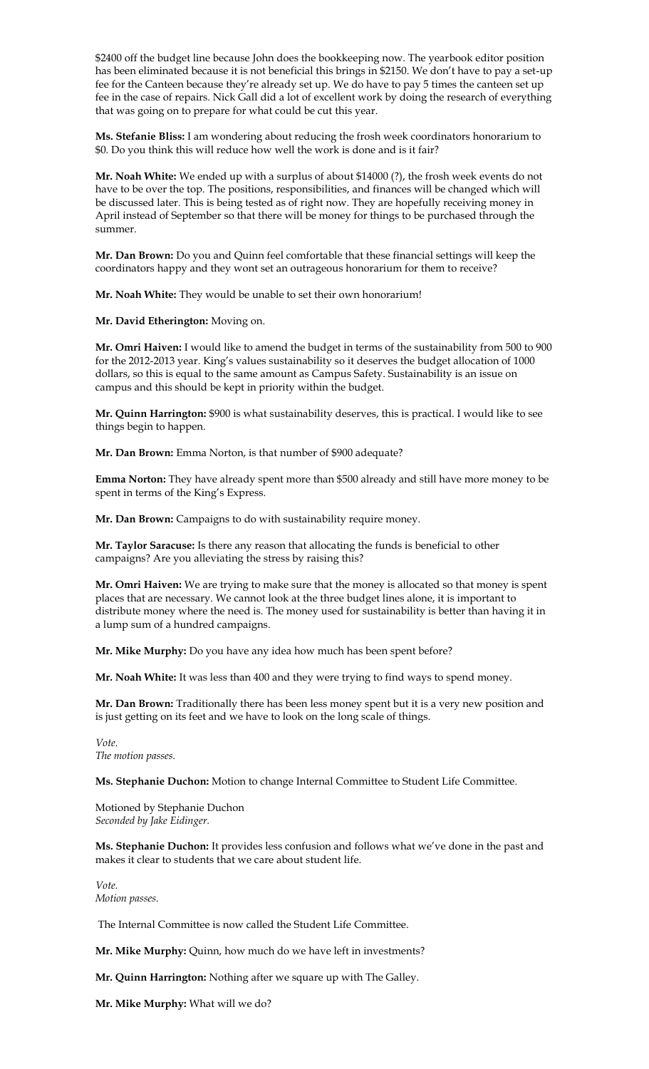\$2400 off the budget line because John does the bookkeeping now. The yearbook editor position has been eliminated because it is not beneficial this brings in \$2150. We don't have to pay a set-up fee for the Canteen because they're already set up. We do have to pay 5 times the canteen set up fee in the case of repairs. Nick Gall did a lot of excellent work by doing the research of everything that was going on to prepare for what could be cut this year.

**Ms. Stefanie Bliss:** I am wondering about reducing the frosh week coordinators honorarium to \$0. Do you think this will reduce how well the work is done and is it fair?

**Mr. Noah White:** We ended up with a surplus of about \$14000 (?), the frosh week events do not have to be over the top. The positions, responsibilities, and finances will be changed which will be discussed later. This is being tested as of right now. They are hopefully receiving money in April instead of September so that there will be money for things to be purchased through the summer.

**Mr. Dan Brown:** Do you and Quinn feel comfortable that these financial settings will keep the coordinators happy and they wont set an outrageous honorarium for them to receive?

**Mr. Noah White:** They would be unable to set their own honorarium!

**Mr. David Etherington:** Moving on.

**Mr. Omri Haiven:** I would like to amend the budget in terms of the sustainability from 500 to 900 for the 2012-2013 year. King's values sustainability so it deserves the budget allocation of 1000 dollars, so this is equal to the same amount as Campus Safety. Sustainability is an issue on campus and this should be kept in priority within the budget.

**Mr. Quinn Harrington:** \$900 is what sustainability deserves, this is practical. I would like to see things begin to happen.

**Mr. Dan Brown:** Emma Norton, is that number of \$900 adequate?

**Emma Norton:** They have already spent more than \$500 already and still have more money to be spent in terms of the King's Express.

**Mr. Dan Brown:** Campaigns to do with sustainability require money.

**Mr. Taylor Saracuse:** Is there any reason that allocating the funds is beneficial to other campaigns? Are you alleviating the stress by raising this?

**Mr. Omri Haiven:** We are trying to make sure that the money is allocated so that money is spent places that are necessary. We cannot look at the three budget lines alone, it is important to distribute money where the need is. The money used for sustainability is better than having it in a lump sum of a hundred campaigns.

**Mr. Mike Murphy:** Do you have any idea how much has been spent before?

**Mr. Noah White:** It was less than 400 and they were trying to find ways to spend money.

**Mr. Dan Brown:** Traditionally there has been less money spent but it is a very new position and is just getting on its feet and we have to look on the long scale of things.

*Vote. The motion passes.* 

**Ms. Stephanie Duchon:** Motion to change Internal Committee to Student Life Committee.

Motioned by Stephanie Duchon *Seconded by Jake Eidinger.* 

**Ms. Stephanie Duchon:** It provides less confusion and follows what we've done in the past and makes it clear to students that we care about student life.

*Vote. Motion passes.*

The Internal Committee is now called the Student Life Committee.

**Mr. Mike Murphy:** Quinn, how much do we have left in investments?

**Mr. Quinn Harrington:** Nothing after we square up with The Galley.

**Mr. Mike Murphy:** What will we do?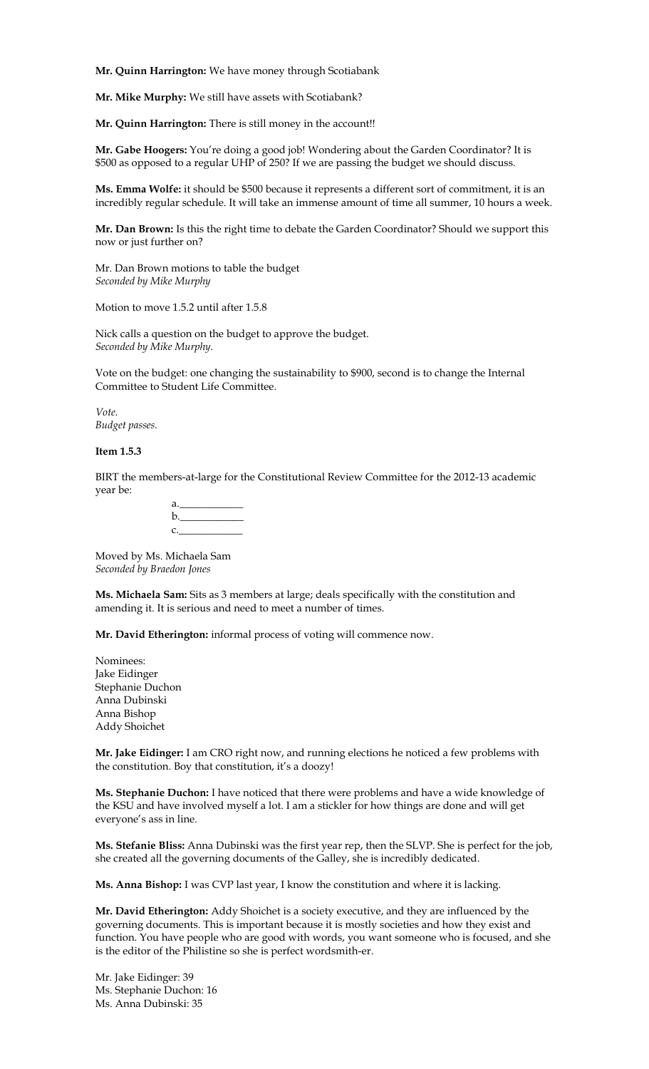**Mr. Quinn Harrington:** We have money through Scotiabank

**Mr. Mike Murphy:** We still have assets with Scotiabank?

**Mr. Quinn Harrington:** There is still money in the account!!

**Mr. Gabe Hoogers:** You're doing a good job! Wondering about the Garden Coordinator? It is \$500 as opposed to a regular UHP of 250? If we are passing the budget we should discuss.

**Ms. Emma Wolfe:** it should be \$500 because it represents a different sort of commitment, it is an incredibly regular schedule. It will take an immense amount of time all summer, 10 hours a week.

**Mr. Dan Brown:** Is this the right time to debate the Garden Coordinator? Should we support this now or just further on?

Mr. Dan Brown motions to table the budget *Seconded by Mike Murphy*

Motion to move 1.5.2 until after 1.5.8

Nick calls a question on the budget to approve the budget. *Seconded by Mike Murphy.* 

Vote on the budget: one changing the sustainability to \$900, second is to change the Internal Committee to Student Life Committee.

*Vote. Budget passes.* 

## **Item 1.5.3**

BIRT the members-at-large for the Constitutional Review Committee for the 2012-13 academic year be:

| a. In the set of the set of the set of the set of the set of the set of the set of the set of the set of the s |  |  |
|----------------------------------------------------------------------------------------------------------------|--|--|
| $\mathbf{b}$ .                                                                                                 |  |  |
| C.                                                                                                             |  |  |

Moved by Ms. Michaela Sam *Seconded by Braedon Jones* 

**Ms. Michaela Sam:** Sits as 3 members at large; deals specifically with the constitution and amending it. It is serious and need to meet a number of times.

**Mr. David Etherington:** informal process of voting will commence now.

Nominees: Jake Eidinger Stephanie Duchon Anna Dubinski Anna Bishop Addy Shoichet

**Mr. Jake Eidinger:** I am CRO right now, and running elections he noticed a few problems with the constitution. Boy that constitution, it's a doozy!

**Ms. Stephanie Duchon:** I have noticed that there were problems and have a wide knowledge of the KSU and have involved myself a lot. I am a stickler for how things are done and will get everyone's ass in line.

**Ms. Stefanie Bliss:** Anna Dubinski was the first year rep, then the SLVP. She is perfect for the job, she created all the governing documents of the Galley, she is incredibly dedicated.

**Ms. Anna Bishop:** I was CVP last year, I know the constitution and where it is lacking.

**Mr. David Etherington:** Addy Shoichet is a society executive, and they are influenced by the governing documents. This is important because it is mostly societies and how they exist and function. You have people who are good with words, you want someone who is focused, and she is the editor of the Philistine so she is perfect wordsmith-er.

Mr. Jake Eidinger: 39 Ms. Stephanie Duchon: 16 Ms. Anna Dubinski: 35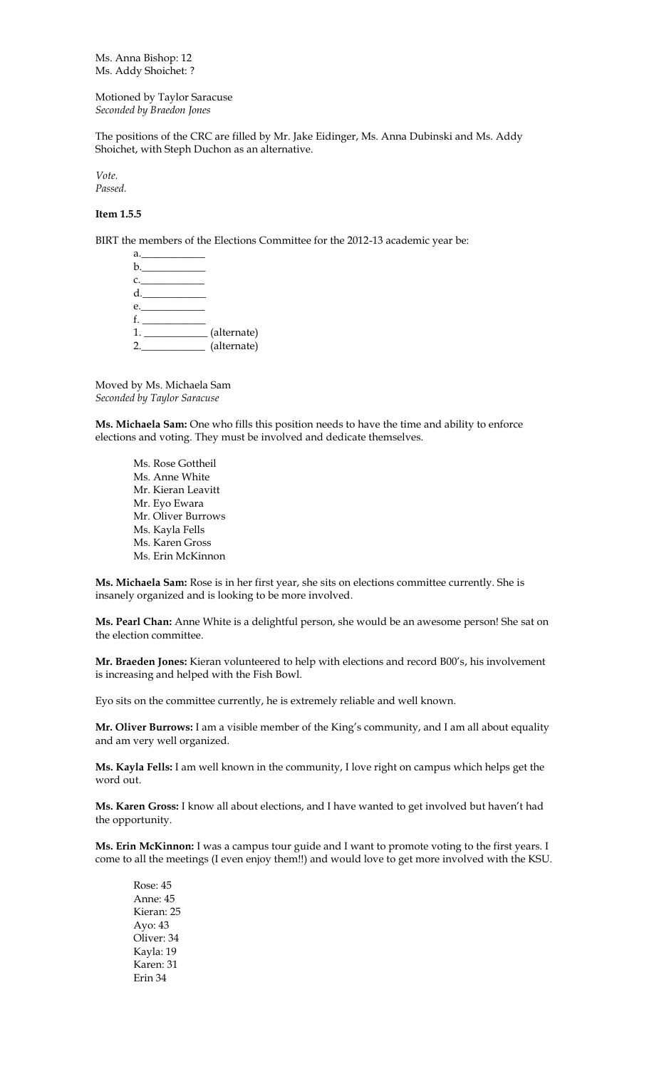Ms. Anna Bishop: 12 Ms. Addy Shoichet: ?

Motioned by Taylor Saracuse *Seconded by Braedon Jones*

The positions of the CRC are filled by Mr. Jake Eidinger, Ms. Anna Dubinski and Ms. Addy Shoichet, with Steph Duchon as an alternative.

*Vote. Passed.*

# **Item 1.5.5**

BIRT the members of the Elections Committee for the 2012-13 academic year be:

| a.______________              |             |
|-------------------------------|-------------|
| b.                            |             |
| c.                            |             |
|                               |             |
| e.                            |             |
|                               |             |
| 1. ______________ (alternate) |             |
| 2.                            | (alternate) |
|                               |             |

Moved by Ms. Michaela Sam *Seconded by Taylor Saracuse*

**Ms. Michaela Sam:** One who fills this position needs to have the time and ability to enforce elections and voting. They must be involved and dedicate themselves.

Ms. Rose Gottheil Ms. Anne White Mr. Kieran Leavitt Mr. Eyo Ewara Mr. Oliver Burrows Ms. Kayla Fells Ms. Karen Gross Ms. Erin McKinnon

**Ms. Michaela Sam:** Rose is in her first year, she sits on elections committee currently. She is insanely organized and is looking to be more involved.

**Ms. Pearl Chan:** Anne White is a delightful person, she would be an awesome person! She sat on the election committee.

**Mr. Braeden Jones:** Kieran volunteered to help with elections and record B00's, his involvement is increasing and helped with the Fish Bowl.

Eyo sits on the committee currently, he is extremely reliable and well known.

**Mr. Oliver Burrows:** I am a visible member of the King's community, and I am all about equality and am very well organized.

**Ms. Kayla Fells:** I am well known in the community, I love right on campus which helps get the word out.

**Ms. Karen Gross:** I know all about elections, and I have wanted to get involved but haven't had the opportunity.

**Ms. Erin McKinnon:** I was a campus tour guide and I want to promote voting to the first years. I come to all the meetings (I even enjoy them!!) and would love to get more involved with the KSU.

Rose: 45 Anne: 45 Kieran: 25 Ayo: 43 Oliver: 34 Kayla: 19 Karen: 31 Erin 34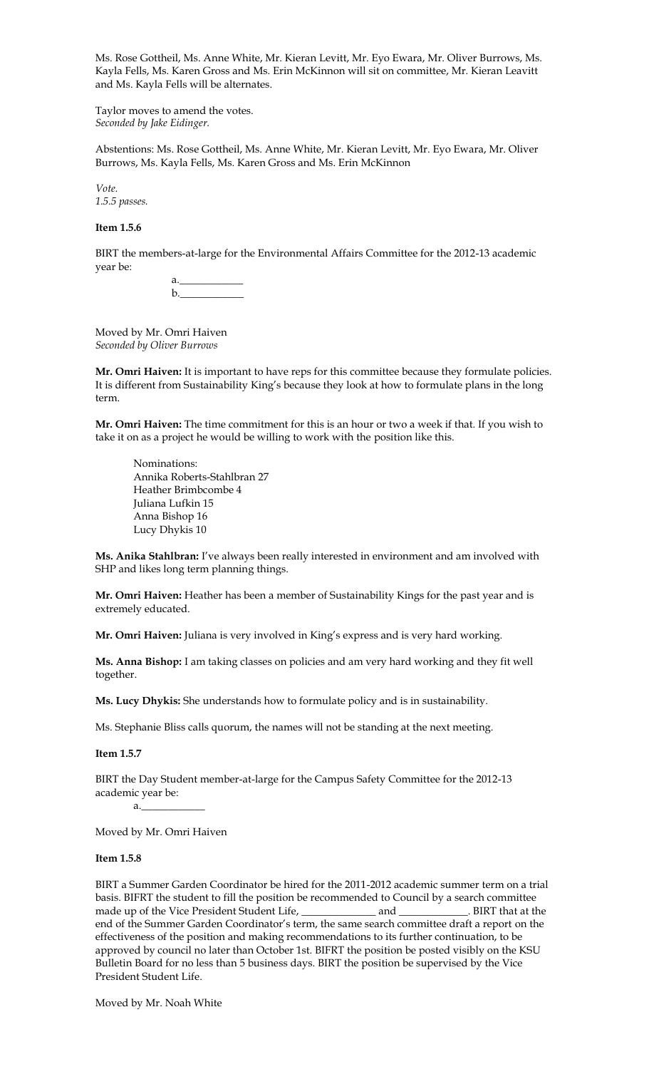Ms. Rose Gottheil, Ms. Anne White, Mr. Kieran Levitt, Mr. Eyo Ewara, Mr. Oliver Burrows, Ms. Kayla Fells, Ms. Karen Gross and Ms. Erin McKinnon will sit on committee, Mr. Kieran Leavitt and Ms. Kayla Fells will be alternates.

Taylor moves to amend the votes. *Seconded by Jake Eidinger.*

Abstentions: Ms. Rose Gottheil, Ms. Anne White, Mr. Kieran Levitt, Mr. Eyo Ewara, Mr. Oliver Burrows, Ms. Kayla Fells, Ms. Karen Gross and Ms. Erin McKinnon

*Vote. 1.5.5 passes.*

### **Item 1.5.6**

BIRT the members-at-large for the Environmental Affairs Committee for the 2012-13 academic year be:

> a.<u>\_\_\_\_\_\_\_\_\_\_\_\_\_\_\_</u>  $\mathbf b$ .

Moved by Mr. Omri Haiven *Seconded by Oliver Burrows* 

**Mr. Omri Haiven:** It is important to have reps for this committee because they formulate policies. It is different from Sustainability King's because they look at how to formulate plans in the long term.

**Mr. Omri Haiven:** The time commitment for this is an hour or two a week if that. If you wish to take it on as a project he would be willing to work with the position like this.

Nominations: Annika Roberts-Stahlbran 27 Heather Brimbcombe 4 Juliana Lufkin 15 Anna Bishop 16 Lucy Dhykis 10

**Ms. Anika Stahlbran:** I've always been really interested in environment and am involved with SHP and likes long term planning things.

**Mr. Omri Haiven:** Heather has been a member of Sustainability Kings for the past year and is extremely educated.

**Mr. Omri Haiven:** Juliana is very involved in King's express and is very hard working.

**Ms. Anna Bishop:** I am taking classes on policies and am very hard working and they fit well together.

**Ms. Lucy Dhykis:** She understands how to formulate policy and is in sustainability.

Ms. Stephanie Bliss calls quorum, the names will not be standing at the next meeting.

**Item 1.5.7**

BIRT the Day Student member-at-large for the Campus Safety Committee for the 2012-13 academic year be:

 $a<sub>z</sub>$ 

Moved by Mr. Omri Haiven

#### **Item 1.5.8**

BIRT a Summer Garden Coordinator be hired for the 2011-2012 academic summer term on a trial basis. BIFRT the student to fill the position be recommended to Council by a search committee made up of the Vice President Student Life, \_\_\_\_\_\_\_\_\_\_\_\_\_\_\_\_\_\_\_\_\_\_\_\_\_\_\_\_\_\_\_\_\_. BIRT that at the end of the Summer Garden Coordinator's term, the same search committee draft a report on the effectiveness of the position and making recommendations to its further continuation, to be approved by council no later than October 1st. BIFRT the position be posted visibly on the KSU Bulletin Board for no less than 5 business days. BIRT the position be supervised by the Vice President Student Life.

Moved by Mr. Noah White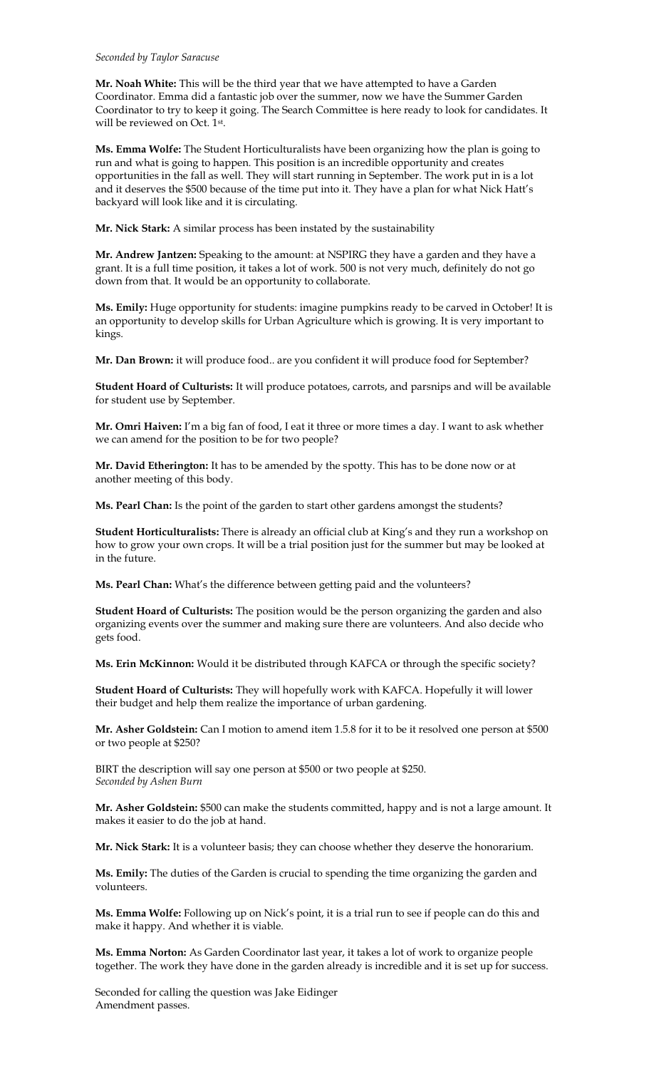#### *Seconded by Taylor Saracuse*

**Mr. Noah White:** This will be the third year that we have attempted to have a Garden Coordinator. Emma did a fantastic job over the summer, now we have the Summer Garden Coordinator to try to keep it going. The Search Committee is here ready to look for candidates. It will be reviewed on Oct. 1st .

**Ms. Emma Wolfe:** The Student Horticulturalists have been organizing how the plan is going to run and what is going to happen. This position is an incredible opportunity and creates opportunities in the fall as well. They will start running in September. The work put in is a lot and it deserves the \$500 because of the time put into it. They have a plan for what Nick Hatt's backyard will look like and it is circulating.

**Mr. Nick Stark:** A similar process has been instated by the sustainability

**Mr. Andrew Jantzen:** Speaking to the amount: at NSPIRG they have a garden and they have a grant. It is a full time position, it takes a lot of work. 500 is not very much, definitely do not go down from that. It would be an opportunity to collaborate.

**Ms. Emily:** Huge opportunity for students: imagine pumpkins ready to be carved in October! It is an opportunity to develop skills for Urban Agriculture which is growing. It is very important to kings.

**Mr. Dan Brown:** it will produce food.. are you confident it will produce food for September?

**Student Hoard of Culturists:** It will produce potatoes, carrots, and parsnips and will be available for student use by September.

**Mr. Omri Haiven:** I'm a big fan of food, I eat it three or more times a day. I want to ask whether we can amend for the position to be for two people?

**Mr. David Etherington:** It has to be amended by the spotty. This has to be done now or at another meeting of this body.

**Ms. Pearl Chan:** Is the point of the garden to start other gardens amongst the students?

**Student Horticulturalists:** There is already an official club at King's and they run a workshop on how to grow your own crops. It will be a trial position just for the summer but may be looked at in the future.

**Ms. Pearl Chan:** What's the difference between getting paid and the volunteers?

**Student Hoard of Culturists:** The position would be the person organizing the garden and also organizing events over the summer and making sure there are volunteers. And also decide who gets food.

**Ms. Erin McKinnon:** Would it be distributed through KAFCA or through the specific society?

**Student Hoard of Culturists:** They will hopefully work with KAFCA. Hopefully it will lower their budget and help them realize the importance of urban gardening.

**Mr. Asher Goldstein:** Can I motion to amend item 1.5.8 for it to be it resolved one person at \$500 or two people at \$250?

BIRT the description will say one person at \$500 or two people at \$250. *Seconded by Ashen Burn* 

**Mr. Asher Goldstein:** \$500 can make the students committed, happy and is not a large amount. It makes it easier to do the job at hand.

**Mr. Nick Stark:** It is a volunteer basis; they can choose whether they deserve the honorarium.

**Ms. Emily:** The duties of the Garden is crucial to spending the time organizing the garden and volunteers.

**Ms. Emma Wolfe:** Following up on Nick's point, it is a trial run to see if people can do this and make it happy. And whether it is viable.

**Ms. Emma Norton:** As Garden Coordinator last year, it takes a lot of work to organize people together. The work they have done in the garden already is incredible and it is set up for success.

Seconded for calling the question was Jake Eidinger Amendment passes.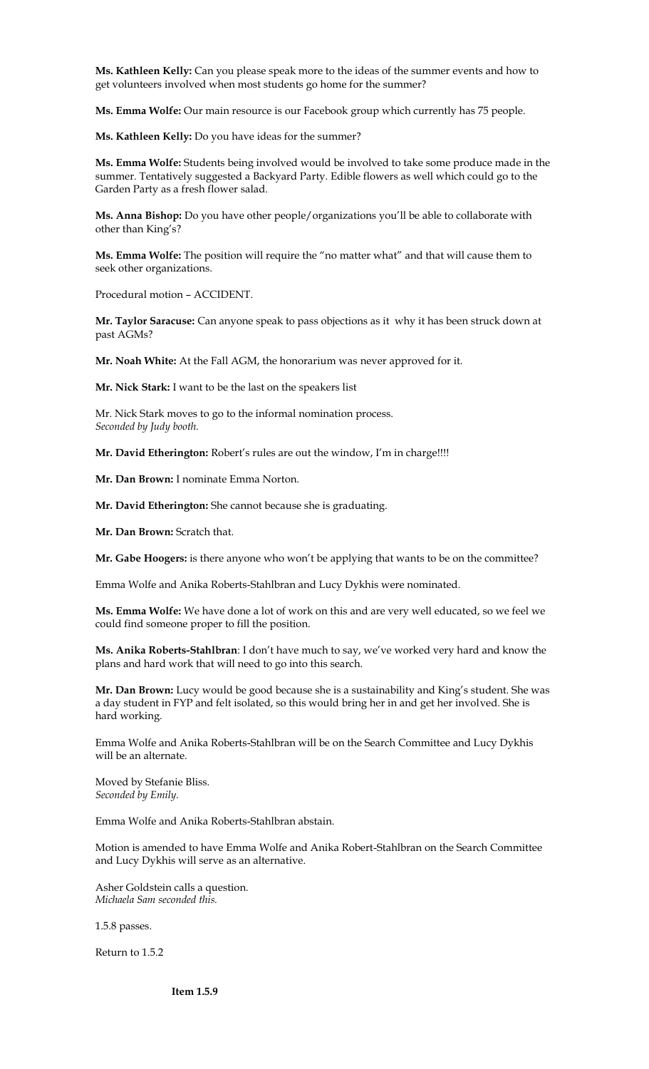**Ms. Kathleen Kelly:** Can you please speak more to the ideas of the summer events and how to get volunteers involved when most students go home for the summer?

**Ms. Emma Wolfe:** Our main resource is our Facebook group which currently has 75 people.

**Ms. Kathleen Kelly:** Do you have ideas for the summer?

**Ms. Emma Wolfe:** Students being involved would be involved to take some produce made in the summer. Tentatively suggested a Backyard Party. Edible flowers as well which could go to the Garden Party as a fresh flower salad.

**Ms. Anna Bishop:** Do you have other people/organizations you'll be able to collaborate with other than King's?

**Ms. Emma Wolfe:** The position will require the "no matter what" and that will cause them to seek other organizations.

Procedural motion – ACCIDENT.

**Mr. Taylor Saracuse:** Can anyone speak to pass objections as it why it has been struck down at past AGMs?

**Mr. Noah White:** At the Fall AGM, the honorarium was never approved for it.

**Mr. Nick Stark:** I want to be the last on the speakers list

Mr. Nick Stark moves to go to the informal nomination process. *Seconded by Judy booth.* 

**Mr. David Etherington:** Robert's rules are out the window, I'm in charge!!!!

**Mr. Dan Brown:** I nominate Emma Norton.

**Mr. David Etherington:** She cannot because she is graduating.

**Mr. Dan Brown:** Scratch that.

**Mr. Gabe Hoogers:** is there anyone who won't be applying that wants to be on the committee?

Emma Wolfe and Anika Roberts-Stahlbran and Lucy Dykhis were nominated.

**Ms. Emma Wolfe:** We have done a lot of work on this and are very well educated, so we feel we could find someone proper to fill the position.

**Ms. Anika Roberts-Stahlbran**: I don't have much to say, we've worked very hard and know the plans and hard work that will need to go into this search.

**Mr. Dan Brown:** Lucy would be good because she is a sustainability and King's student. She was a day student in FYP and felt isolated, so this would bring her in and get her involved. She is hard working.

Emma Wolfe and Anika Roberts-Stahlbran will be on the Search Committee and Lucy Dykhis will be an alternate.

Moved by Stefanie Bliss. *Seconded by Emily.* 

Emma Wolfe and Anika Roberts-Stahlbran abstain.

Motion is amended to have Emma Wolfe and Anika Robert-Stahlbran on the Search Committee and Lucy Dykhis will serve as an alternative.

Asher Goldstein calls a question. *Michaela Sam seconded this.* 

1.5.8 passes.

Return to 1.5.2

**Item 1.5.9**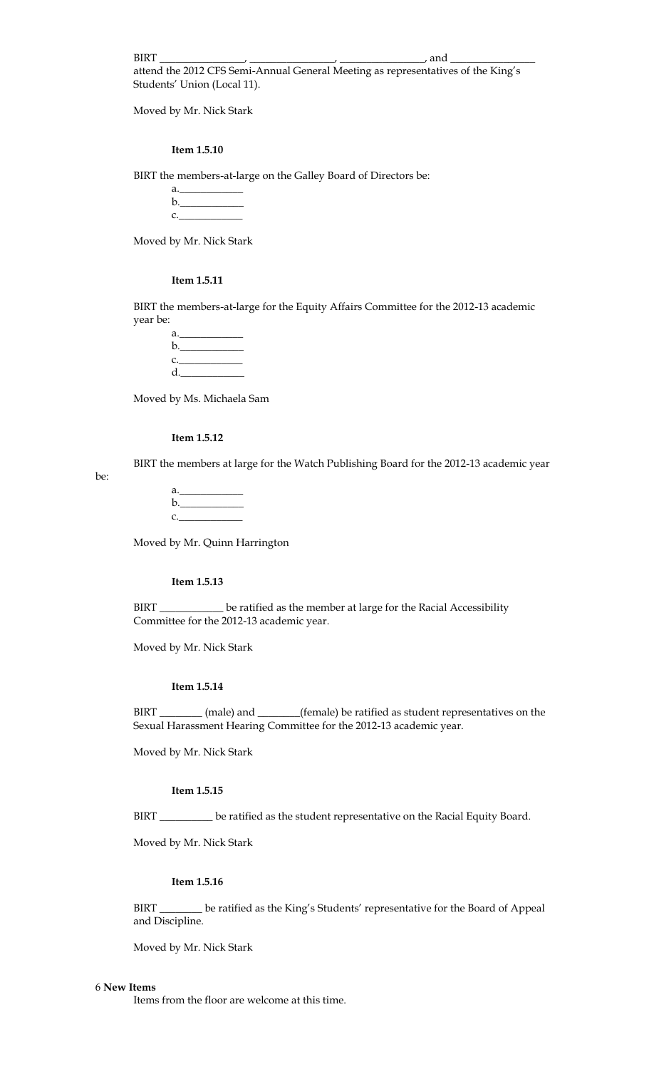BIRT \_\_\_\_\_\_\_\_\_\_\_\_\_\_\_\_, \_\_\_\_\_\_\_\_\_\_\_\_\_\_\_\_, \_\_\_\_\_\_\_\_\_\_\_\_\_\_\_\_, and \_\_\_\_\_\_\_\_\_\_\_\_\_\_\_\_ attend the 2012 CFS Semi-Annual General Meeting as representatives of the King's Students' Union (Local 11).

Moved by Mr. Nick Stark

# **Item 1.5.10**

BIRT the members-at-large on the Galley Board of Directors be:

a.<u>\_\_\_\_\_\_\_\_\_\_\_\_\_\_\_</u>  $b.$  $c.$ 

Moved by Mr. Nick Stark

# **Item 1.5.11**

BIRT the members-at-large for the Equity Affairs Committee for the 2012-13 academic year be:

| a.                                         |
|--------------------------------------------|
| $\mathbf{b}$ .                             |
| $\mathbf{C}$ , and the set of $\mathbf{C}$ |
| d.                                         |

Moved by Ms. Michaela Sam

### **Item 1.5.12**

BIRT the members at large for the Watch Publishing Board for the 2012-13 academic year

be:

| a. In the set of the set of the set of the set of the set of the set of the set of the set of the set of the s |  |  |
|----------------------------------------------------------------------------------------------------------------|--|--|
| $\mathbf{b}$ .                                                                                                 |  |  |
| $\mathbf{C}$ .                                                                                                 |  |  |

Moved by Mr. Quinn Harrington

#### **Item 1.5.13**

BIRT \_\_\_\_\_\_\_\_\_\_\_ be ratified as the member at large for the Racial Accessibility Committee for the 2012-13 academic year.

Moved by Mr. Nick Stark

# **Item 1.5.14**

BIRT \_\_\_\_\_\_\_\_ (male) and \_\_\_\_\_\_\_(female) be ratified as student representatives on the Sexual Harassment Hearing Committee for the 2012-13 academic year.

Moved by Mr. Nick Stark

#### **Item 1.5.15**

BIRT \_\_\_\_\_\_\_\_\_\_ be ratified as the student representative on the Racial Equity Board.

Moved by Mr. Nick Stark

# **Item 1.5.16**

BIRT \_\_\_\_\_\_\_\_ be ratified as the King's Students' representative for the Board of Appeal and Discipline.

Moved by Mr. Nick Stark

#### 6 **New Items**

Items from the floor are welcome at this time.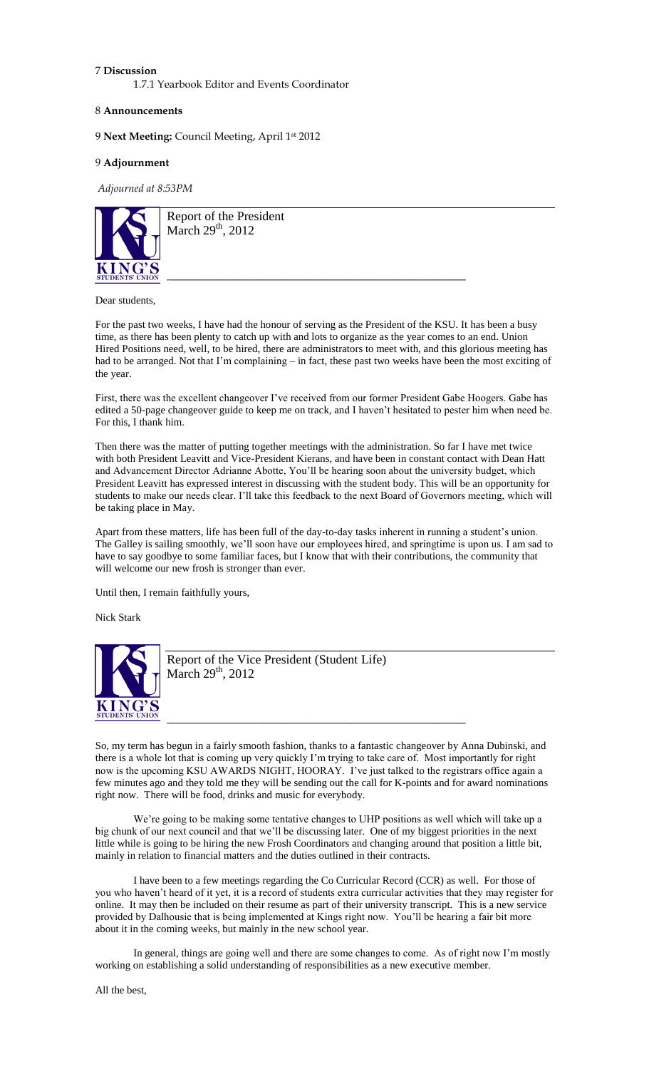### 7 **Discussion**

1.7.1 Yearbook Editor and Events Coordinator

### 8 **Announcements**

9 **Next Meeting:** Council Meeting, April 1st 2012

# 9 **Adjournment**

*Adjourned at 8:53PM*



Report of the President March  $29<sup>th</sup>$ , 2012

#### Dear students,

For the past two weeks, I have had the honour of serving as the President of the KSU. It has been a busy time, as there has been plenty to catch up with and lots to organize as the year comes to an end. Union Hired Positions need, well, to be hired, there are administrators to meet with, and this glorious meeting has had to be arranged. Not that I'm complaining – in fact, these past two weeks have been the most exciting of the year.

\_\_\_\_\_\_\_\_\_\_\_\_\_\_\_\_\_\_\_\_\_\_\_\_\_\_\_\_\_\_\_\_\_\_\_\_\_\_\_\_\_\_\_\_\_\_\_

First, there was the excellent changeover I've received from our former President Gabe Hoogers. Gabe has edited a 50-page changeover guide to keep me on track, and I haven't hesitated to pester him when need be. For this, I thank him.

Then there was the matter of putting together meetings with the administration. So far I have met twice with both President Leavitt and Vice-President Kierans, and have been in constant contact with Dean Hatt and Advancement Director Adrianne Abotte, You'll be hearing soon about the university budget, which President Leavitt has expressed interest in discussing with the student body. This will be an opportunity for students to make our needs clear. I'll take this feedback to the next Board of Governors meeting, which will be taking place in May.

Apart from these matters, life has been full of the day-to-day tasks inherent in running a student's union. The Galley is sailing smoothly, we'll soon have our employees hired, and springtime is upon us. I am sad to have to say goodbye to some familiar faces, but I know that with their contributions, the community that will welcome our new frosh is stronger than ever.

Until then, I remain faithfully yours,

Nick Stark



Report of the Vice President (Student Life) March  $29<sup>th</sup>$ , 2012

So, my term has begun in a fairly smooth fashion, thanks to a fantastic changeover by Anna Dubinski, and there is a whole lot that is coming up very quickly I'm trying to take care of. Most importantly for right now is the upcoming KSU AWARDS NIGHT, HOORAY. I've just talked to the registrars office again a few minutes ago and they told me they will be sending out the call for K-points and for award nominations right now. There will be food, drinks and music for everybody.

\_\_\_\_\_\_\_\_\_\_\_\_\_\_\_\_\_\_\_\_\_\_\_\_\_\_\_\_\_\_\_\_\_\_\_\_\_\_\_\_\_\_\_\_\_\_\_

We're going to be making some tentative changes to UHP positions as well which will take up a big chunk of our next council and that we'll be discussing later. One of my biggest priorities in the next little while is going to be hiring the new Frosh Coordinators and changing around that position a little bit, mainly in relation to financial matters and the duties outlined in their contracts.

I have been to a few meetings regarding the Co Curricular Record (CCR) as well. For those of you who haven't heard of it yet, it is a record of students extra curricular activities that they may register for online. It may then be included on their resume as part of their university transcript. This is a new service provided by Dalhousie that is being implemented at Kings right now. You'll be hearing a fair bit more about it in the coming weeks, but mainly in the new school year.

In general, things are going well and there are some changes to come. As of right now I'm mostly working on establishing a solid understanding of responsibilities as a new executive member.

All the best,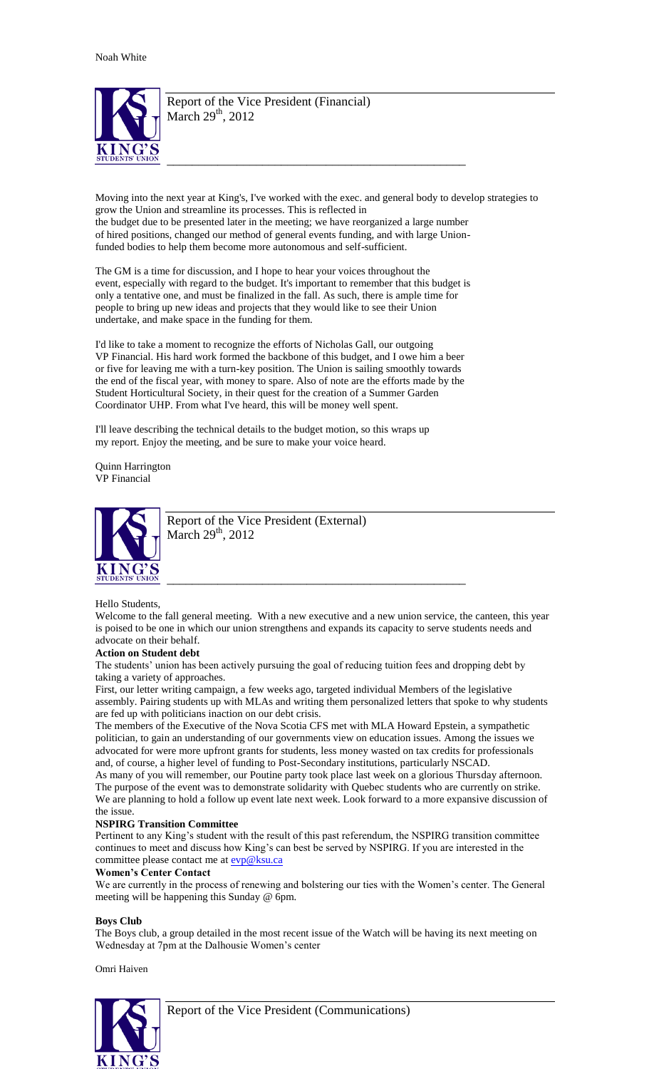

Report of the Vice President (Financial) March  $29<sup>th</sup>$ , 2012

Moving into the next year at King's, I've worked with the exec. and general body to develop strategies to grow the Union and streamline its processes. This is reflected in the budget due to be presented later in the meeting; we have reorganized a large number of hired positions, changed our method of general events funding, and with large Unionfunded bodies to help them become more autonomous and self-sufficient.

\_\_\_\_\_\_\_\_\_\_\_\_\_\_\_\_\_\_\_\_\_\_\_\_\_\_\_\_\_\_\_\_\_\_\_\_\_\_\_\_\_\_\_\_\_\_\_

The GM is a time for discussion, and I hope to hear your voices throughout the event, especially with regard to the budget. It's important to remember that this budget is only a tentative one, and must be finalized in the fall. As such, there is ample time for people to bring up new ideas and projects that they would like to see their Union undertake, and make space in the funding for them.

I'd like to take a moment to recognize the efforts of Nicholas Gall, our outgoing VP Financial. His hard work formed the backbone of this budget, and I owe him a beer or five for leaving me with a turn-key position. The Union is sailing smoothly towards the end of the fiscal year, with money to spare. Also of note are the efforts made by the Student Horticultural Society, in their quest for the creation of a Summer Garden Coordinator UHP. From what I've heard, this will be money well spent.

I'll leave describing the technical details to the budget motion, so this wraps up my report. Enjoy the meeting, and be sure to make your voice heard.

Quinn Harrington VP Financial



Report of the Vice President (External) March  $29<sup>th</sup>$ , 2012

# Hello Students,

Welcome to the fall general meeting. With a new executive and a new union service, the canteen, this year is poised to be one in which our union strengthens and expands its capacity to serve students needs and advocate on their behalf.

\_\_\_\_\_\_\_\_\_\_\_\_\_\_\_\_\_\_\_\_\_\_\_\_\_\_\_\_\_\_\_\_\_\_\_\_\_\_\_\_\_\_\_\_\_\_\_

# **Action on Student debt**

The students' union has been actively pursuing the goal of reducing tuition fees and dropping debt by taking a variety of approaches.

First, our letter writing campaign, a few weeks ago, targeted individual Members of the legislative assembly. Pairing students up with MLAs and writing them personalized letters that spoke to why students are fed up with politicians inaction on our debt crisis.

The members of the Executive of the Nova Scotia CFS met with MLA Howard Epstein, a sympathetic politician, to gain an understanding of our governments view on education issues. Among the issues we advocated for were more upfront grants for students, less money wasted on tax credits for professionals and, of course, a higher level of funding to Post-Secondary institutions, particularly NSCAD.

As many of you will remember, our Poutine party took place last week on a glorious Thursday afternoon. The purpose of the event was to demonstrate solidarity with Quebec students who are currently on strike. We are planning to hold a follow up event late next week. Look forward to a more expansive discussion of the issue.

### **NSPIRG Transition Committee**

Pertinent to any King's student with the result of this past referendum, the NSPIRG transition committee continues to meet and discuss how King's can best be served by NSPIRG. If you are interested in the committee please contact me at **evp@ksu.ca** 

### **Women's Center Contact**

We are currently in the process of renewing and bolstering our ties with the Women's center. The General meeting will be happening this Sunday @ 6pm.

# **Boys Club**

The Boys club, a group detailed in the most recent issue of the Watch will be having its next meeting on Wednesday at 7pm at the Dalhousie Women's center

Omri Haiven

![](_page_9_Picture_24.jpeg)